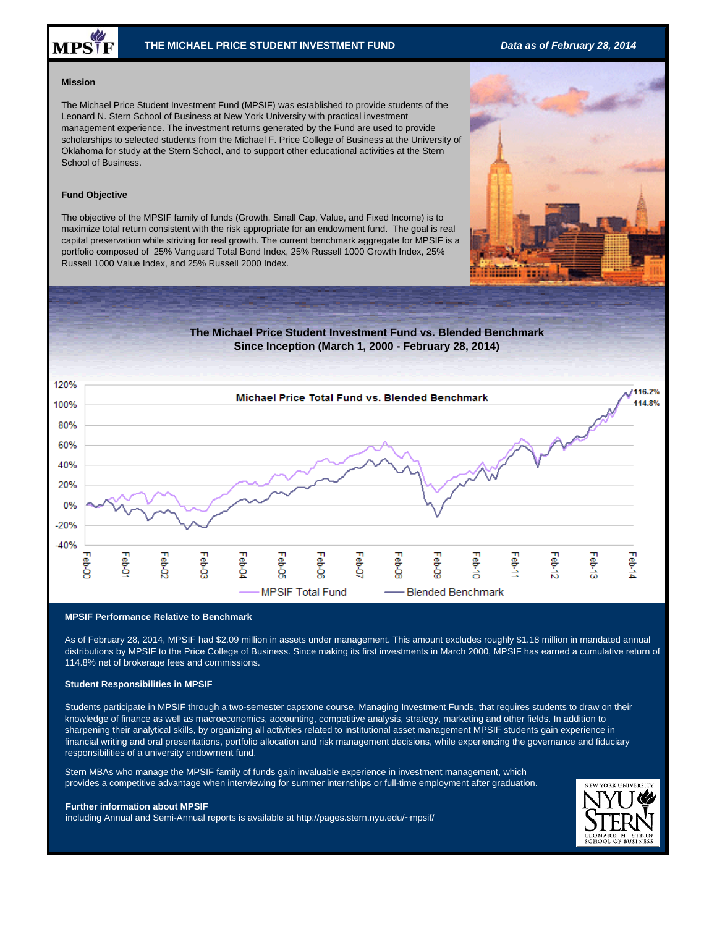# MPSTF

# **THE MICHAEL PRICE STUDENT INVESTMENT FUND** *Data as of February 28, 2014*

## **Mission**

The Michael Price Student Investment Fund (MPSIF) was established to provide students of the Leonard N. Stern School of Business at New York University with practical investment management experience. The investment returns generated by the Fund are used to provide scholarships to selected students from the Michael F. Price College of Business at the University of Oklahoma for study at the Stern School, and to support other educational activities at the Stern School of Business.

# **Fund Objective**

The objective of the MPSIF family of funds (Growth, Small Cap, Value, and Fixed Income) is to maximize total return consistent with the risk appropriate for an endowment fund. The goal is real capital preservation while striving for real growth. The current benchmark aggregate for MPSIF is a portfolio composed of 25% Vanguard Total Bond Index, 25% Russell 1000 Growth Index, 25% Russell 1000 Value Index, and 25% Russell 2000 Index.



### **MPSIF Performance Relative to Benchmark**

As of February 28, 2014, MPSIF had \$2.09 million in assets under management. This amount excludes roughly \$1.18 million in mandated annual distributions by MPSIF to the Price College of Business. Since making its first investments in March 2000, MPSIF has earned a cumulative return of 114.8% net of brokerage fees and commissions.

# **Student Responsibilities in MPSIF**

Students participate in MPSIF through a two-semester capstone course, Managing Investment Funds, that requires students to draw on their knowledge of finance as well as macroeconomics, accounting, competitive analysis, strategy, marketing and other fields. In addition to sharpening their analytical skills, by organizing all activities related to institutional asset management MPSIF students gain experience in financial writing and oral presentations, portfolio allocation and risk management decisions, while experiencing the governance and fiduciary responsibilities of a university endowment fund.

Stern MBAs who manage the MPSIF family of funds gain invaluable experience in investment management, which provides a competitive advantage when interviewing for summer internships or full-time employment after graduation.

### **Further information about MPSIF**

including Annual and Semi-Annual reports is available at http://pages.stern.nyu.edu/~mpsif/